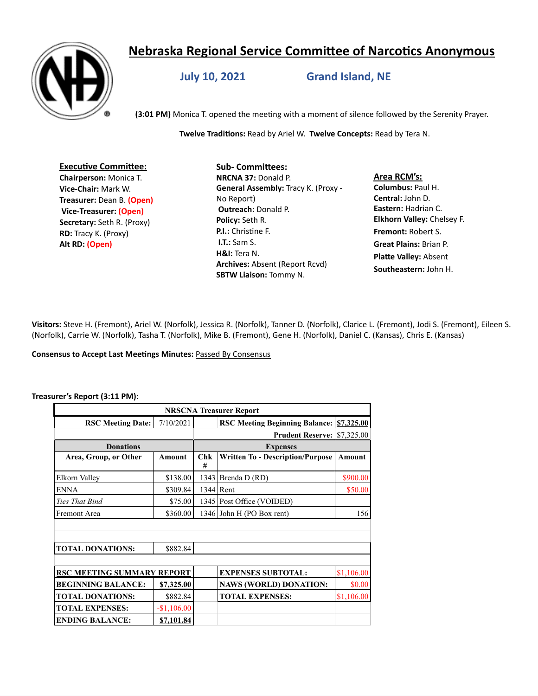# **Nebraska Regional Service Committee of Narcotics Anonymous**



**July 10, 2021 Grand Island, NE**

**(3:01 PM)** Monica T. opened the meeting with a moment of silence followed by the Serenity Prayer.

**Twelve Traditions:** Read by Ariel W. **Twelve Concepts:** Read by Tera N.

**Executive Committee: Chairperson:** Monica T. **Vice-Chair:** Mark W. **Treasurer:** Dean B. **(Open) Vice-Treasurer: (Open) Secretary:** Seth R. (Proxy) **RD:** Tracy K. (Proxy) **Alt RD: (Open)**

# **Sub- Committees:**

**NRCNA 37:** Donald P. **General Assembly:** Tracy K. (Proxy - No Report) **Outreach:** Donald P. **Policy:** Seth R. **P.I.:** Christine F. **I.T.:** Sam S. **H&I:** Tera N. **Archives:** Absent (Report Rcvd) **SBTW Liaison:** Tommy N.

**Area RCM's: Columbus:** Paul H. **Central:** John D. **Eastern:** Hadrian C. **Elkhorn Valley:** Chelsey F. **Fremont:** Robert S. **Great Plains:** Brian P. **Platte Valley:** Absent **Southeastern:** John H.

**Visitors:** Steve H. (Fremont), Ariel W. (Norfolk), Jessica R. (Norfolk), Tanner D. (Norfolk), Clarice L. (Fremont), Jodi S. (Fremont), Eileen S. (Norfolk), Carrie W. (Norfolk), Tasha T. (Norfolk), Mike B. (Fremont), Gene H. (Norfolk), Daniel C. (Kansas), Chris E. (Kansas)

#### **Consensus to Accept Last Meetings Minutes:** Passed By Consensus

#### **Treasurer's Report (3:11 PM)**:

| <b>NRSCNA Treasurer Report</b>    |              |                 |                                         |            |
|-----------------------------------|--------------|-----------------|-----------------------------------------|------------|
| <b>RSC Meeting Date:</b>          | 7/10/2021    |                 | <b>RSC Meeting Beginning Balance:</b>   | \$7,325.00 |
|                                   |              |                 | <b>Prudent Reserve: \$7,325.00</b>      |            |
| <b>Donations</b>                  |              | <b>Expenses</b> |                                         |            |
| Area, Group, or Other             | Amount       | Chk<br>#        | <b>Written To - Description/Purpose</b> | Amount     |
| Elkorn Valley                     | \$138.00     |                 | 1343 Brenda D (RD)                      | \$900.00   |
| <b>ENNA</b>                       | \$309.84     |                 | 1344 Rent                               | \$50.00    |
| Ties That Bind                    | \$75.00      |                 | 1345   Post Office (VOIDED)             |            |
| Fremont Area                      | \$360.00     |                 | 1346 John H (PO Box rent)               | 156        |
|                                   |              |                 |                                         |            |
| <b>TOTAL DONATIONS:</b>           | \$882.84     |                 |                                         |            |
|                                   |              |                 |                                         |            |
| <b>RSC MEETING SUMMARY REPORT</b> |              |                 | <b>EXPENSES SUBTOTAL:</b>               | \$1,106.00 |
| <b>BEGINNING BALANCE:</b>         | \$7,325.00   |                 | <b>NAWS (WORLD) DONATION:</b>           | \$0.00     |
| <b>TOTAL DONATIONS:</b>           | \$882.84     |                 | <b>TOTAL EXPENSES:</b>                  | \$1,106.00 |
| <b>TOTAL EXPENSES:</b>            | $-$1,106.00$ |                 |                                         |            |
| <b>ENDING BALANCE:</b>            | \$7,101.84   |                 |                                         |            |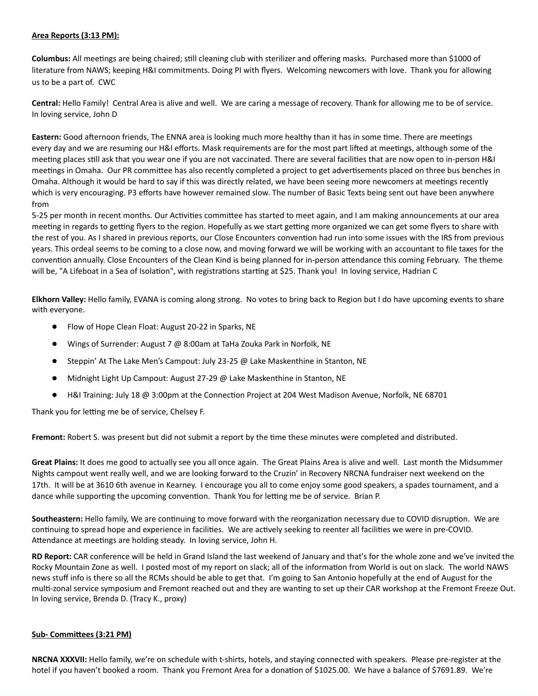#### **Area Reports (3:13 PM):**

**Columbus:** All meetings are being chaired; still cleaning club with sterilizer and offering masks. Purchased more than \$1000 of literature from NAWS; keeping H&I commitments. Doing PI with flyers. Welcoming newcomers with love. Thank you for allowing us to be a part of. CWC

**Central:** Hello Family! Central Area is alive and well. We are caring a message of recovery. Thank for allowing me to be of service. In loving service, John D

**Eastern:** Good afternoon friends, The ENNA area is looking much more healthy than it has in some time. There are meetings every day and we are resuming our H&I efforts. Mask requirements are for the most part lifted at meetings, although some of the meeting places still ask that you wear one if you are not vaccinated. There are several facilities that are now open to in-person H&I meetings in Omaha. Our PR committee has also recently completed a project to get advertisements placed on three bus benches in Omaha. Although it would be hard to say if this was directly related, we have been seeing more newcomers at meetings recently which is very encouraging. P3 efforts have however remained slow. The number of Basic Texts being sent out have been anywhere from

5-25 per month in recent months. Our Activities committee has started to meet again, and I am making announcements at our area meeting in regards to getting flyers to the region. Hopefully as we start getting more organized we can get some flyers to share with the rest of you. As I shared in previous reports, our Close Encounters convention had run into some issues with the IRS from previous years. This ordeal seems to be coming to a close now, and moving forward we will be working with an accountant to file taxes for the convention annually. Close Encounters of the Clean Kind is being planned for in-person attendance this coming February. The theme will be, "A Lifeboat in a Sea of Isolation", with registrations starting at \$25. Thank you! In loving service, Hadrian C

**Elkhorn Valley:** Hello family, EVANA is coming along strong. No votes to bring back to Region but I do have upcoming events to share with everyone.

- Flow of Hope Clean Float: August 20-22 in Sparks, NE
- Wings of Surrender: August 7 @ 8:00am at TaHa Zouka Park in Norfolk, NE
- Steppin' At The Lake Men's Campout: July 23-25 @ Lake Maskenthine in Stanton, NE
- Midnight Light Up Campout: August 27-29 @ Lake Maskenthine in Stanton, NE
- H&I Training: July 18 @ 3:00pm at the Connection Project at 204 West Madison Avenue, Norfolk, NE 68701

Thank you for letting me be of service, Chelsey F.

**Fremont:** Robert S. was present but did not submit a report by the time these minutes were completed and distributed.

**Great Plains:** It does me good to actually see you all once again. The Great Plains Area is alive and well. Last month the Midsummer Nights campout went really well, and we are looking forward to the Cruzin' in Recovery NRCNA fundraiser next weekend on the 17th. It will be at 3610 6th avenue in Kearney. I encourage you all to come enjoy some good speakers, a spades tournament, and a dance while supporting the upcoming convention. Thank You for letting me be of service. Brian P.

**Southeastern:** Hello family, We are continuing to move forward with the reorganization necessary due to COVID disruption. We are continuing to spread hope and experience in facilities. We are actively seeking to reenter all facilities we were in pre-COVID. Attendance at meetings are holding steady. In loving service, John H.

**RD Report:** CAR conference will be held in Grand Island the last weekend of January and that's for the whole zone and we've invited the Rocky Mountain Zone as well. I posted most of my report on slack; all of the information from World is out on slack. The world NAWS news stuff info is there so all the RCMs should be able to get that. I'm going to San Antonio hopefully at the end of August for the multi-zonal service symposium and Fremont reached out and they are wanting to set up their CAR workshop at the Fremont Freeze Out. In loving service, Brenda D. (Tracy K., proxy)

#### **Sub- Committees (3:21 PM)**

**NRCNA XXXVII:** Hello family, we're on schedule with t-shirts, hotels, and staying connected with speakers. Please pre-register at the hotel if you haven't booked a room. Thank you Fremont Area for a donation of \$1025.00. We have a balance of \$7691.89. We're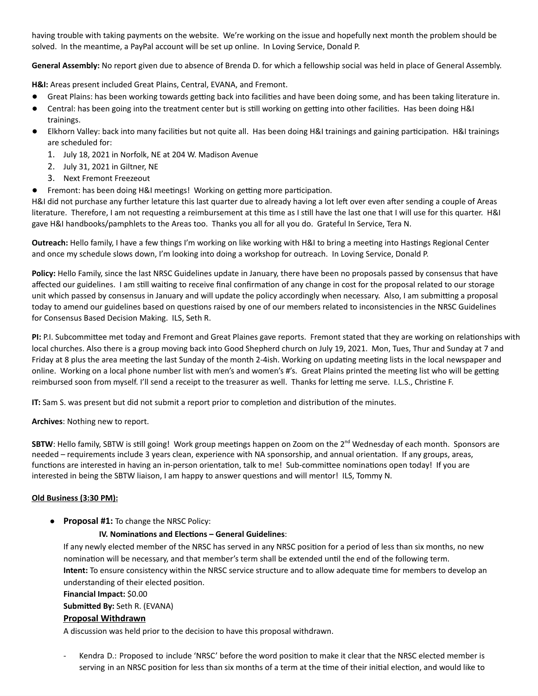having trouble with taking payments on the website. We're working on the issue and hopefully next month the problem should be solved. In the meantime, a PayPal account will be set up online. In Loving Service, Donald P.

**General Assembly:** No report given due to absence of Brenda D. for which a fellowship social was held in place of General Assembly.

**H&I:** Areas present included Great Plains, Central, EVANA, and Fremont.

- Great Plains: has been working towards getting back into facilities and have been doing some, and has been taking literature in.
- Central: has been going into the treatment center but is still working on getting into other facilities. Has been doing H&I trainings.
- Elkhorn Valley: back into many facilities but not quite all. Has been doing H&I trainings and gaining participation. H&I trainings are scheduled for:
	- 1. July 18, 2021 in Norfolk, NE at 204 W. Madison Avenue
	- 2. July 31, 2021 in Giltner, NE
	- 3. Next Fremont Freezeout
- Fremont: has been doing H&I meetings! Working on getting more participation.

H&I did not purchase any further letature this last quarter due to already having a lot left over even after sending a couple of Areas literature. Therefore, I am not requesting a reimbursement at this time as I still have the last one that I will use for this quarter. H&I gave H&I handbooks/pamphlets to the Areas too. Thanks you all for all you do. Grateful In Service, Tera N.

**Outreach:** Hello family, I have a few things I'm working on like working with H&I to bring a meeting into Hastings Regional Center and once my schedule slows down, I'm looking into doing a workshop for outreach. In Loving Service, Donald P.

**Policy:** Hello Family, since the last NRSC Guidelines update in January, there have been no proposals passed by consensus that have affected our guidelines. I am still waiting to receive final confirmation of any change in cost for the proposal related to our storage unit which passed by consensus in January and will update the policy accordingly when necessary. Also, I am submitting a proposal today to amend our guidelines based on questions raised by one of our members related to inconsistencies in the NRSC Guidelines for Consensus Based Decision Making. ILS, Seth R.

**PI:** P.I. Subcommittee met today and Fremont and Great Plaines gave reports. Fremont stated that they are working on relationships with local churches. Also there is a group moving back into Good Shepherd church on July 19, 2021. Mon, Tues, Thur and Sunday at 7 and Friday at 8 plus the area meeting the last Sunday of the month 2-4ish. Working on updating meeting lists in the local newspaper and online. Working on a local phone number list with men's and women's #'s. Great Plains printed the meeting list who will be getting reimbursed soon from myself. I'll send a receipt to the treasurer as well. Thanks for letting me serve. I.L.S., Christine F.

**IT:** Sam S. was present but did not submit a report prior to completion and distribution of the minutes.

**Archives**: Nothing new to report.

**SBTW**: Hello family, SBTW is still going! Work group meetings happen on Zoom on the 2<sup>nd</sup> Wednesday of each month. Sponsors are needed – requirements include 3 years clean, experience with NA sponsorship, and annual orientation. If any groups, areas, functions are interested in having an in-person orientation, talk to me! Sub-committee nominations open today! If you are interested in being the SBTW liaison, I am happy to answer questions and will mentor! ILS, Tommy N.

# **Old Business (3:30 PM):**

● **Proposal #1:** To change the NRSC Policy:

#### **IV. Nominations and Elections – General Guidelines**:

If any newly elected member of the NRSC has served in any NRSC position for a period of less than six months, no new nomination will be necessary, and that member's term shall be extended until the end of the following term. **Intent:** To ensure consistency within the NRSC service structure and to allow adequate time for members to develop an understanding of their elected position.

#### **Financial Impact:** \$0.00

**Submitted By:** Seth R. (EVANA)

# **Proposal Withdrawn**

A discussion was held prior to the decision to have this proposal withdrawn.

Kendra D.: Proposed to include 'NRSC' before the word position to make it clear that the NRSC elected member is serving in an NRSC position for less than six months of a term at the time of their initial election, and would like to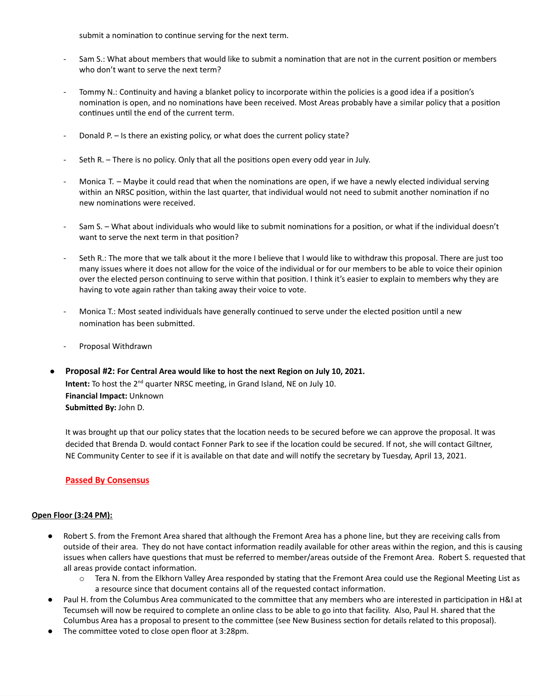submit a nomination to continue serving for the next term.

- Sam S.: What about members that would like to submit a nomination that are not in the current position or members who don't want to serve the next term?
- Tommy N.: Continuity and having a blanket policy to incorporate within the policies is a good idea if a position's nomination is open, and no nominations have been received. Most Areas probably have a similar policy that a position continues until the end of the current term.
- Donald P. Is there an existing policy, or what does the current policy state?
- Seth R. There is no policy. Only that all the positions open every odd year in July.
- Monica T. Maybe it could read that when the nominations are open, if we have a newly elected individual serving within an NRSC position, within the last quarter, that individual would not need to submit another nomination if no new nominations were received.
- Sam S. What about individuals who would like to submit nominations for a position, or what if the individual doesn't want to serve the next term in that position?
- Seth R.: The more that we talk about it the more I believe that I would like to withdraw this proposal. There are just too many issues where it does not allow for the voice of the individual or for our members to be able to voice their opinion over the elected person continuing to serve within that position. I think it's easier to explain to members why they are having to vote again rather than taking away their voice to vote.
- Monica T.: Most seated individuals have generally continued to serve under the elected position until a new nomination has been submitted.
- Proposal Withdrawn
- **Proposal #2: For Central Area would like to host the next Region on July 10, 2021.** Intent: To host the 2<sup>nd</sup> quarter NRSC meeting, in Grand Island, NE on July 10. **Financial Impact:** Unknown **Submitted By:** John D.

It was brought up that our policy states that the location needs to be secured before we can approve the proposal. It was decided that Brenda D. would contact Fonner Park to see if the location could be secured. If not, she will contact Giltner, NE Community Center to see if it is available on that date and will notify the secretary by Tuesday, April 13, 2021.

# **Passed By Consensus**

#### **Open Floor (3:24 PM):**

- Robert S. from the Fremont Area shared that although the Fremont Area has a phone line, but they are receiving calls from outside of their area. They do not have contact information readily available for other areas within the region, and this is causing issues when callers have questions that must be referred to member/areas outside of the Fremont Area. Robert S. requested that all areas provide contact information.
	- o Tera N. from the Elkhorn Valley Area responded by stating that the Fremont Area could use the Regional Meeting List as a resource since that document contains all of the requested contact information.
- **●** Paul H. from the Columbus Area communicated to the committee that any members who are interested in participation in H&I at Tecumseh will now be required to complete an online class to be able to go into that facility. Also, Paul H. shared that the Columbus Area has a proposal to present to the committee (see New Business section for details related to this proposal).
- **●** The committee voted to close open floor at 3:28pm.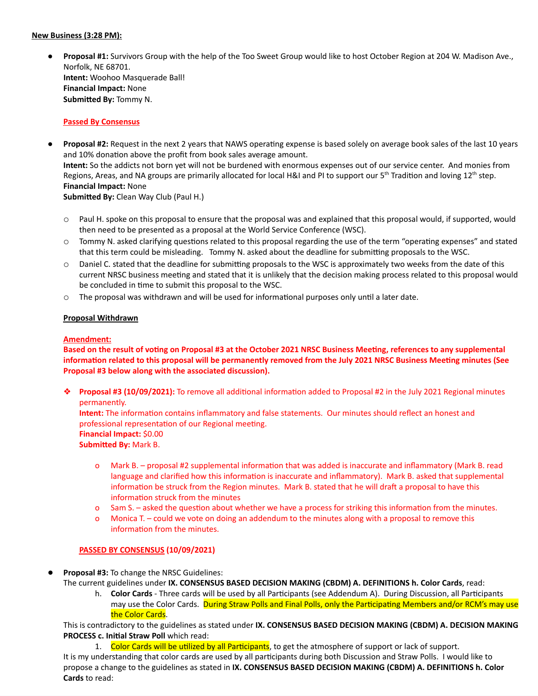#### **New Business (3:28 PM):**

● **Proposal #1:** Survivors Group with the help of the Too Sweet Group would like to host October Region at 204 W. Madison Ave., Norfolk, NE 68701. **Intent:** Woohoo Masquerade Ball! **Financial Impact:** None **Submitted By:** Tommy N.

#### **Passed By Consensus**

- **● Proposal #2:** Request in the next 2 years that NAWS operating expense is based solely on average book sales of the last 10 years and 10% donation above the profit from book sales average amount. **Intent:** So the addicts not born yet will not be burdened with enormous expenses out of our service center. And monies from Regions, Areas, and NA groups are primarily allocated for local H&I and PI to support our 5<sup>th</sup> Tradition and loving 12<sup>th</sup> step. **Financial Impact:** None **Submitted By:** Clean Way Club (Paul H.)
	- o Paul H. spoke on this proposal to ensure that the proposal was and explained that this proposal would, if supported, would then need to be presented as a proposal at the World Service Conference (WSC).
	- o Tommy N. asked clarifying questions related to this proposal regarding the use of the term "operating expenses" and stated that this term could be misleading. Tommy N. asked about the deadline for submitting proposals to the WSC.
	- $\circ$  Daniel C. stated that the deadline for submitting proposals to the WSC is approximately two weeks from the date of this current NRSC business meeting and stated that it is unlikely that the decision making process related to this proposal would be concluded in time to submit this proposal to the WSC.
	- o The proposal was withdrawn and will be used for informational purposes only until a later date.

#### **Proposal Withdrawn**

#### **Amendment:**

Based on the result of voting on Proposal #3 at the October 2021 NRSC Business Meeting, references to any supplemental information related to this proposal will be permanently removed from the July 2021 NRSC Business Meeting minutes (See **Proposal #3 below along with the associated discussion).**

❖ **Proposal #3 (10/09/2021):** To remove all additional information added to Proposal #2 in the July 2021 Regional minutes permanently.

**Intent:** The information contains inflammatory and false statements. Our minutes should reflect an honest and professional representation of our Regional meeting. **Financial Impact:** \$0.00 **Submitted By:** Mark B.

- o Mark B. proposal #2 supplemental information that was added is inaccurate and inflammatory (Mark B. read language and clarified how this information is inaccurate and inflammatory). Mark B. asked that supplemental information be struck from the Region minutes. Mark B. stated that he will draft a proposal to have this information struck from the minutes
- o Sam S. asked the question about whether we have a process for striking this information from the minutes.
- o Monica T. could we vote on doing an addendum to the minutes along with a proposal to remove this information from the minutes.

# **PASSED BY CONSENSUS (10/09/2021)**

**Proposal #3: To change the NRSC Guidelines:** 

The current guidelines under **IX. CONSENSUS BASED DECISION MAKING (CBDM) A. DEFINITIONS h. Color Cards**, read:

h. **Color Cards** - Three cards will be used by all Participants (see Addendum A). During Discussion, all Participants may use the Color Cards. During Straw Polls and Final Polls, only the Participating Members and/or RCM's may use the Color Cards.

This is contradictory to the guidelines as stated under **IX. CONSENSUS BASED DECISION MAKING (CBDM) A. DECISION MAKING PROCESS c. Initial Straw Poll** which read:

1. Color Cards will be utilized by all Participants, to get the atmosphere of support or lack of support. It is my understanding that color cards are used by all participants during both Discussion and Straw Polls. I would like to propose a change to the guidelines as stated in **IX. CONSENSUS BASED DECISION MAKING (CBDM) A. DEFINITIONS h. Color Cards** to read: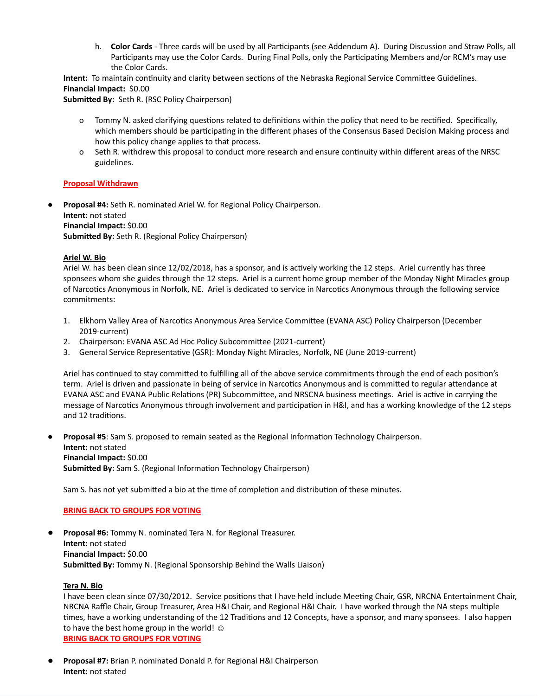h. **Color Cards** - Three cards will be used by all Participants (see Addendum A). During Discussion and Straw Polls, all Participants may use the Color Cards. During Final Polls, only the Participating Members and/or RCM's may use the Color Cards.

**Intent:** To maintain continuity and clarity between sections of the Nebraska Regional Service Committee Guidelines. **Financial Impact:** \$0.00

**Submitted By:** Seth R. (RSC Policy Chairperson)

- o Tommy N. asked clarifying questions related to definitions within the policy that need to be rectified. Specifically, which members should be participating in the different phases of the Consensus Based Decision Making process and how this policy change applies to that process.
- o Seth R. withdrew this proposal to conduct more research and ensure continuity within different areas of the NRSC guidelines.

#### **Proposal Withdrawn**

**● Proposal #4:** Seth R. nominated Ariel W. for Regional Policy Chairperson. **Intent:** not stated **Financial Impact:** \$0.00 **Submitted By:** Seth R. (Regional Policy Chairperson)

#### **Ariel W. Bio**

Ariel W. has been clean since 12/02/2018, has a sponsor, and is actively working the 12 steps. Ariel currently has three sponsees whom she guides through the 12 steps. Ariel is a current home group member of the Monday Night Miracles group of Narcotics Anonymous in Norfolk, NE. Ariel is dedicated to service in Narcotics Anonymous through the following service commitments:

- 1. Elkhorn Valley Area of Narcotics Anonymous Area Service Committee (EVANA ASC) Policy Chairperson (December 2019-current)
- 2. Chairperson: EVANA ASC Ad Hoc Policy Subcommittee (2021-current)
- 3. General Service Representative (GSR): Monday Night Miracles, Norfolk, NE (June 2019-current)

Ariel has continued to stay committed to fulfilling all of the above service commitments through the end of each position's term. Ariel is driven and passionate in being of service in Narcotics Anonymous and is committed to regular attendance at EVANA ASC and EVANA Public Relations (PR) Subcommittee, and NRSCNA business meetings. Ariel is active in carrying the message of Narcotics Anonymous through involvement and participation in H&I, and has a working knowledge of the 12 steps and 12 traditions.

● **Proposal #5**: Sam S. proposed to remain seated as the Regional Information Technology Chairperson. **Intent:** not stated **Financial Impact:** \$0.00 **Submitted By:** Sam S. (Regional Information Technology Chairperson)

Sam S. has not yet submitted a bio at the time of completion and distribution of these minutes.

#### **BRING BACK TO GROUPS FOR VOTING**

**Proposal #6:** Tommy N. nominated Tera N. for Regional Treasurer. **Intent:** not stated **Financial Impact:** \$0.00 **Submitted By:** Tommy N. (Regional Sponsorship Behind the Walls Liaison)

#### **Tera N. Bio**

I have been clean since 07/30/2012. Service positions that I have held include Meeting Chair, GSR, NRCNA Entertainment Chair, NRCNA Raffle Chair, Group Treasurer, Area H&I Chair, and Regional H&I Chair. I have worked through the NA steps multiple times, have a working understanding of the 12 Traditions and 12 Concepts, have a sponsor, and many sponsees. I also happen to have the best home group in the world!  $\odot$ **BRING BACK TO GROUPS FOR VOTING**

● **Proposal #7:** Brian P. nominated Donald P. for Regional H&I Chairperson **Intent:** not stated